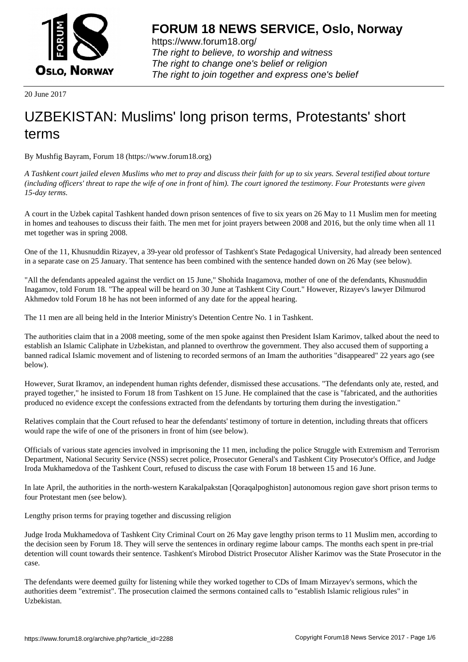

https://www.forum18.org/ The right to believe, to worship and witness The right to change one's belief or religion [The right to join together a](https://www.forum18.org/)nd express one's belief

20 June 2017

## [UZBEKISTAN:](https://www.forum18.org) Muslims' long prison terms, Protestants' short terms

By Mushfig Bayram, Forum 18 (https://www.forum18.org)

*A Tashkent court jailed eleven Muslims who met to pray and discuss their faith for up to six years. Several testified about torture (including officers' threat to rape the wife of one in front of him). The court ignored the testimony. Four Protestants were given 15-day terms.*

A court in the Uzbek capital Tashkent handed down prison sentences of five to six years on 26 May to 11 Muslim men for meeting in homes and teahouses to discuss their faith. The men met for joint prayers between 2008 and 2016, but the only time when all 11 met together was in spring 2008.

One of the 11, Khusnuddin Rizayev, a 39-year old professor of Tashkent's State Pedagogical University, had already been sentenced in a separate case on 25 January. That sentence has been combined with the sentence handed down on 26 May (see below).

"All the defendants appealed against the verdict on 15 June," Shohida Inagamova, mother of one of the defendants, Khusnuddin Inagamov, told Forum 18. "The appeal will be heard on 30 June at Tashkent City Court." However, Rizayev's lawyer Dilmurod Akhmedov told Forum 18 he has not been informed of any date for the appeal hearing.

The 11 men are all being held in the Interior Ministry's Detention Centre No. 1 in Tashkent.

The authorities claim that in a 2008 meeting, some of the men spoke against then President Islam Karimov, talked about the need to establish an Islamic Caliphate in Uzbekistan, and planned to overthrow the government. They also accused them of supporting a banned radical Islamic movement and of listening to recorded sermons of an Imam the authorities "disappeared" 22 years ago (see below).

However, Surat Ikramov, an independent human rights defender, dismissed these accusations. "The defendants only ate, rested, and prayed together," he insisted to Forum 18 from Tashkent on 15 June. He complained that the case is "fabricated, and the authorities produced no evidence except the confessions extracted from the defendants by torturing them during the investigation."

Relatives complain that the Court refused to hear the defendants' testimony of torture in detention, including threats that officers would rape the wife of one of the prisoners in front of him (see below).

Officials of various state agencies involved in imprisoning the 11 men, including the police Struggle with Extremism and Terrorism Department, National Security Service (NSS) secret police, Prosecutor General's and Tashkent City Prosecutor's Office, and Judge Iroda Mukhamedova of the Tashkent Court, refused to discuss the case with Forum 18 between 15 and 16 June.

In late April, the authorities in the north-western Karakalpakstan [Qoraqalpoghiston] autonomous region gave short prison terms to four Protestant men (see below).

Lengthy prison terms for praying together and discussing religion

Judge Iroda Mukhamedova of Tashkent City Criminal Court on 26 May gave lengthy prison terms to 11 Muslim men, according to the decision seen by Forum 18. They will serve the sentences in ordinary regime labour camps. The months each spent in pre-trial detention will count towards their sentence. Tashkent's Mirobod District Prosecutor Alisher Karimov was the State Prosecutor in the case.

The defendants were deemed guilty for listening while they worked together to CDs of Imam Mirzayev's sermons, which the authorities deem "extremist". The prosecution claimed the sermons contained calls to "establish Islamic religious rules" in Uzbekistan.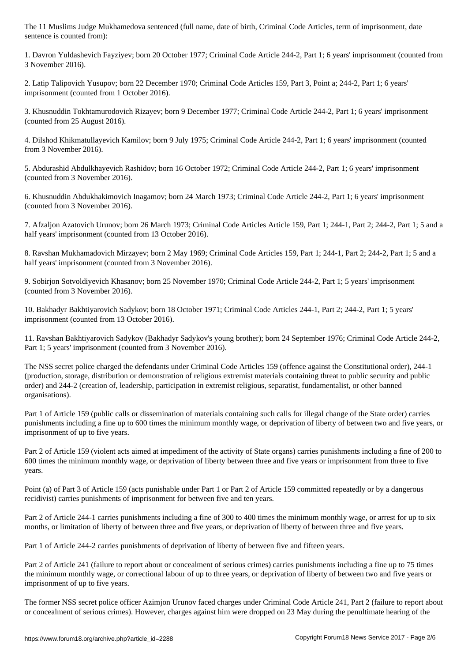1. Davron Yuldashevich Fayziyev; born 20 October 1977; Criminal Code Article 244-2, Part 1; 6 years' imprisonment (counted from 3 November 2016).

2. Latip Talipovich Yusupov; born 22 December 1970; Criminal Code Articles 159, Part 3, Point a; 244-2, Part 1; 6 years' imprisonment (counted from 1 October 2016).

3. Khusnuddin Tokhtamurodovich Rizayev; born 9 December 1977; Criminal Code Article 244-2, Part 1; 6 years' imprisonment (counted from 25 August 2016).

4. Dilshod Khikmatullayevich Kamilov; born 9 July 1975; Criminal Code Article 244-2, Part 1; 6 years' imprisonment (counted from 3 November 2016).

5. Abdurashid Abdulkhayevich Rashidov; born 16 October 1972; Criminal Code Article 244-2, Part 1; 6 years' imprisonment (counted from 3 November 2016).

6. Khusnuddin Abdukhakimovich Inagamov; born 24 March 1973; Criminal Code Article 244-2, Part 1; 6 years' imprisonment (counted from 3 November 2016).

7. Afzaljon Azatovich Urunov; born 26 March 1973; Criminal Code Articles Article 159, Part 1; 244-1, Part 2; 244-2, Part 1; 5 and a half years' imprisonment (counted from 13 October 2016).

8. Ravshan Mukhamadovich Mirzayev; born 2 May 1969; Criminal Code Articles 159, Part 1; 244-1, Part 2; 244-2, Part 1; 5 and a half years' imprisonment (counted from 3 November 2016).

9. Sobirjon Sotvoldiyevich Khasanov; born 25 November 1970; Criminal Code Article 244-2, Part 1; 5 years' imprisonment (counted from 3 November 2016).

10. Bakhadyr Bakhtiyarovich Sadykov; born 18 October 1971; Criminal Code Articles 244-1, Part 2; 244-2, Part 1; 5 years' imprisonment (counted from 13 October 2016).

11. Ravshan Bakhtiyarovich Sadykov (Bakhadyr Sadykov's young brother); born 24 September 1976; Criminal Code Article 244-2, Part 1; 5 years' imprisonment (counted from 3 November 2016).

The NSS secret police charged the defendants under Criminal Code Articles 159 (offence against the Constitutional order), 244-1 (production, storage, distribution or demonstration of religious extremist materials containing threat to public security and public order) and 244-2 (creation of, leadership, participation in extremist religious, separatist, fundamentalist, or other banned organisations).

Part 1 of Article 159 (public calls or dissemination of materials containing such calls for illegal change of the State order) carries punishments including a fine up to 600 times the minimum monthly wage, or deprivation of liberty of between two and five years, or imprisonment of up to five years.

Part 2 of Article 159 (violent acts aimed at impediment of the activity of State organs) carries punishments including a fine of 200 to 600 times the minimum monthly wage, or deprivation of liberty between three and five years or imprisonment from three to five years.

Point (a) of Part 3 of Article 159 (acts punishable under Part 1 or Part 2 of Article 159 committed repeatedly or by a dangerous recidivist) carries punishments of imprisonment for between five and ten years.

Part 2 of Article 244-1 carries punishments including a fine of 300 to 400 times the minimum monthly wage, or arrest for up to six months, or limitation of liberty of between three and five years, or deprivation of liberty of between three and five years.

Part 1 of Article 244-2 carries punishments of deprivation of liberty of between five and fifteen years.

Part 2 of Article 241 (failure to report about or concealment of serious crimes) carries punishments including a fine up to 75 times the minimum monthly wage, or correctional labour of up to three years, or deprivation of liberty of between two and five years or imprisonment of up to five years.

The former NSS secret police officer Azimjon Urunov faced charges under Criminal Code Article 241, Part 2 (failure to report about or concealment of serious crimes). However, charges against him were dropped on 23 May during the penultimate hearing of the

sentence is counted from):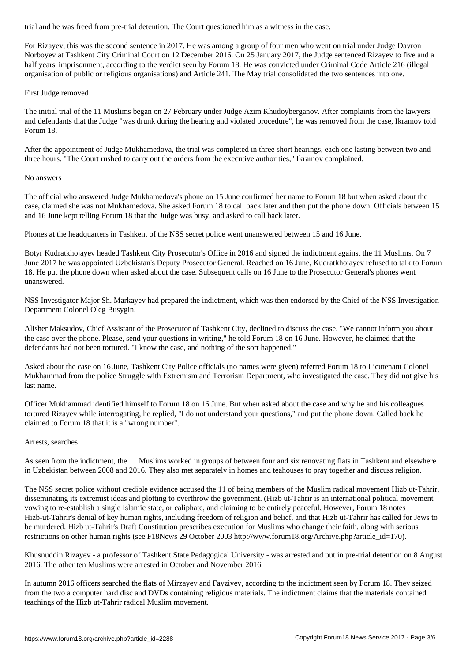For Rizayev, this was the second sentence in 2017. He was among a group of four men who went on trial under Judge Davron Norboyev at Tashkent City Criminal Court on 12 December 2016. On 25 January 2017, the Judge sentenced Rizayev to five and a half years' imprisonment, according to the verdict seen by Forum 18. He was convicted under Criminal Code Article 216 (illegal organisation of public or religious organisations) and Article 241. The May trial consolidated the two sentences into one.

## First Judge removed

The initial trial of the 11 Muslims began on 27 February under Judge Azim Khudoyberganov. After complaints from the lawyers and defendants that the Judge "was drunk during the hearing and violated procedure", he was removed from the case, Ikramov told Forum 18.

After the appointment of Judge Mukhamedova, the trial was completed in three short hearings, each one lasting between two and three hours. "The Court rushed to carry out the orders from the executive authorities," Ikramov complained.

## No answers

The official who answered Judge Mukhamedova's phone on 15 June confirmed her name to Forum 18 but when asked about the case, claimed she was not Mukhamedova. She asked Forum 18 to call back later and then put the phone down. Officials between 15 and 16 June kept telling Forum 18 that the Judge was busy, and asked to call back later.

Phones at the headquarters in Tashkent of the NSS secret police went unanswered between 15 and 16 June.

Botyr Kudratkhojayev headed Tashkent City Prosecutor's Office in 2016 and signed the indictment against the 11 Muslims. On 7 June 2017 he was appointed Uzbekistan's Deputy Prosecutor General. Reached on 16 June, Kudratkhojayev refused to talk to Forum 18. He put the phone down when asked about the case. Subsequent calls on 16 June to the Prosecutor General's phones went unanswered.

NSS Investigator Major Sh. Markayev had prepared the indictment, which was then endorsed by the Chief of the NSS Investigation Department Colonel Oleg Busygin.

Alisher Maksudov, Chief Assistant of the Prosecutor of Tashkent City, declined to discuss the case. "We cannot inform you about the case over the phone. Please, send your questions in writing," he told Forum 18 on 16 June. However, he claimed that the defendants had not been tortured. "I know the case, and nothing of the sort happened."

Asked about the case on 16 June, Tashkent City Police officials (no names were given) referred Forum 18 to Lieutenant Colonel Mukhammad from the police Struggle with Extremism and Terrorism Department, who investigated the case. They did not give his last name.

Officer Mukhammad identified himself to Forum 18 on 16 June. But when asked about the case and why he and his colleagues tortured Rizayev while interrogating, he replied, "I do not understand your questions," and put the phone down. Called back he claimed to Forum 18 that it is a "wrong number".

## Arrests, searches

As seen from the indictment, the 11 Muslims worked in groups of between four and six renovating flats in Tashkent and elsewhere in Uzbekistan between 2008 and 2016. They also met separately in homes and teahouses to pray together and discuss religion.

The NSS secret police without credible evidence accused the 11 of being members of the Muslim radical movement Hizb ut-Tahrir, disseminating its extremist ideas and plotting to overthrow the government. (Hizb ut-Tahrir is an international political movement vowing to re-establish a single Islamic state, or caliphate, and claiming to be entirely peaceful. However, Forum 18 notes Hizb-ut-Tahrir's denial of key human rights, including freedom of religion and belief, and that Hizb ut-Tahrir has called for Jews to be murdered. Hizb ut-Tahrir's Draft Constitution prescribes execution for Muslims who change their faith, along with serious restrictions on other human rights (see F18News 29 October 2003 http://www.forum18.org/Archive.php?article\_id=170).

Khusnuddin Rizayev - a professor of Tashkent State Pedagogical University - was arrested and put in pre-trial detention on 8 August 2016. The other ten Muslims were arrested in October and November 2016.

In autumn 2016 officers searched the flats of Mirzayev and Fayziyev, according to the indictment seen by Forum 18. They seized from the two a computer hard disc and DVDs containing religious materials. The indictment claims that the materials contained teachings of the Hizb ut-Tahrir radical Muslim movement.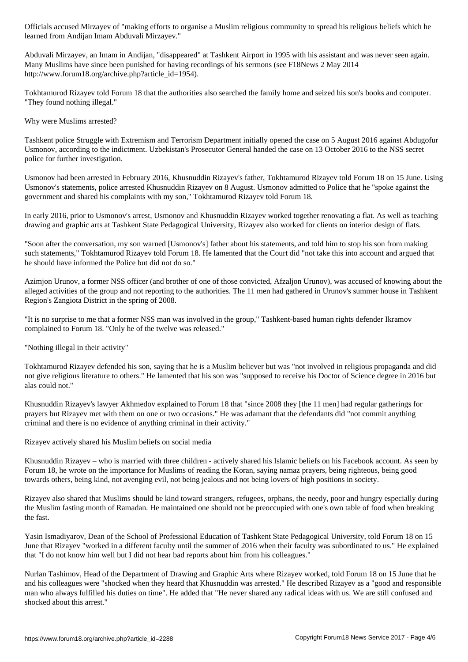learned from Andijan Imam Abduvali Mirzayev."

Abduvali Mirzayev, an Imam in Andijan, "disappeared" at Tashkent Airport in 1995 with his assistant and was never seen again. Many Muslims have since been punished for having recordings of his sermons (see F18News 2 May 2014 http://www.forum18.org/archive.php?article\_id=1954).

Tokhtamurod Rizayev told Forum 18 that the authorities also searched the family home and seized his son's books and computer. "They found nothing illegal."

Why were Muslims arrested?

Tashkent police Struggle with Extremism and Terrorism Department initially opened the case on 5 August 2016 against Abdugofur Usmonov, according to the indictment. Uzbekistan's Prosecutor General handed the case on 13 October 2016 to the NSS secret police for further investigation.

Usmonov had been arrested in February 2016, Khusnuddin Rizayev's father, Tokhtamurod Rizayev told Forum 18 on 15 June. Using Usmonov's statements, police arrested Khusnuddin Rizayev on 8 August. Usmonov admitted to Police that he "spoke against the government and shared his complaints with my son," Tokhtamurod Rizayev told Forum 18.

In early 2016, prior to Usmonov's arrest, Usmonov and Khusnuddin Rizayev worked together renovating a flat. As well as teaching drawing and graphic arts at Tashkent State Pedagogical University, Rizayev also worked for clients on interior design of flats.

"Soon after the conversation, my son warned [Usmonov's] father about his statements, and told him to stop his son from making such statements," Tokhtamurod Rizayev told Forum 18. He lamented that the Court did "not take this into account and argued that he should have informed the Police but did not do so."

Azimjon Urunov, a former NSS officer (and brother of one of those convicted, Afzaljon Urunov), was accused of knowing about the alleged activities of the group and not reporting to the authorities. The 11 men had gathered in Urunov's summer house in Tashkent Region's Zangiota District in the spring of 2008.

"It is no surprise to me that a former NSS man was involved in the group," Tashkent-based human rights defender Ikramov complained to Forum 18. "Only he of the twelve was released."

"Nothing illegal in their activity"

Tokhtamurod Rizayev defended his son, saying that he is a Muslim believer but was "not involved in religious propaganda and did not give religious literature to others." He lamented that his son was "supposed to receive his Doctor of Science degree in 2016 but alas could not."

Khusnuddin Rizayev's lawyer Akhmedov explained to Forum 18 that "since 2008 they [the 11 men] had regular gatherings for prayers but Rizayev met with them on one or two occasions." He was adamant that the defendants did "not commit anything criminal and there is no evidence of anything criminal in their activity."

Rizayev actively shared his Muslim beliefs on social media

Khusnuddin Rizayev – who is married with three children - actively shared his Islamic beliefs on his Facebook account. As seen by Forum 18, he wrote on the importance for Muslims of reading the Koran, saying namaz prayers, being righteous, being good towards others, being kind, not avenging evil, not being jealous and not being lovers of high positions in society.

Rizayev also shared that Muslims should be kind toward strangers, refugees, orphans, the needy, poor and hungry especially during the Muslim fasting month of Ramadan. He maintained one should not be preoccupied with one's own table of food when breaking the fast.

Yasin Ismadiyarov, Dean of the School of Professional Education of Tashkent State Pedagogical University, told Forum 18 on 15 June that Rizayev "worked in a different faculty until the summer of 2016 when their faculty was subordinated to us." He explained that "I do not know him well but I did not hear bad reports about him from his colleagues."

Nurlan Tashimov, Head of the Department of Drawing and Graphic Arts where Rizayev worked, told Forum 18 on 15 June that he and his colleagues were "shocked when they heard that Khusnuddin was arrested." He described Rizayev as a "good and responsible man who always fulfilled his duties on time". He added that "He never shared any radical ideas with us. We are still confused and shocked about this arrest."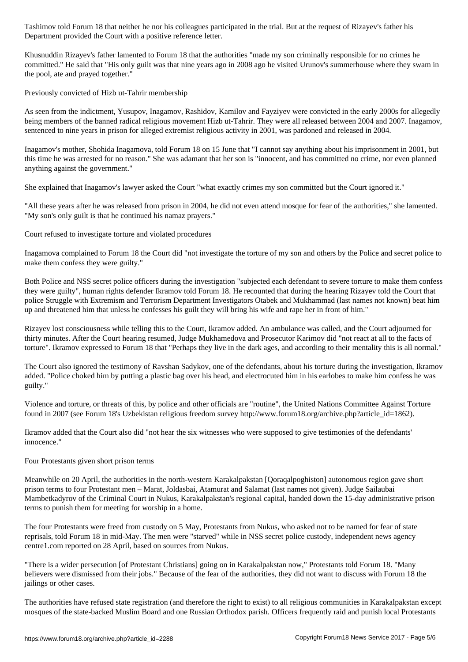Department provided the Court with a positive reference letter.

Khusnuddin Rizayev's father lamented to Forum 18 that the authorities "made my son criminally responsible for no crimes he committed." He said that "His only guilt was that nine years ago in 2008 ago he visited Urunov's summerhouse where they swam in the pool, ate and prayed together."

Previously convicted of Hizb ut-Tahrir membership

As seen from the indictment, Yusupov, Inagamov, Rashidov, Kamilov and Fayziyev were convicted in the early 2000s for allegedly being members of the banned radical religious movement Hizb ut-Tahrir. They were all released between 2004 and 2007. Inagamov, sentenced to nine years in prison for alleged extremist religious activity in 2001, was pardoned and released in 2004.

Inagamov's mother, Shohida Inagamova, told Forum 18 on 15 June that "I cannot say anything about his imprisonment in 2001, but this time he was arrested for no reason." She was adamant that her son is "innocent, and has committed no crime, nor even planned anything against the government."

She explained that Inagamov's lawyer asked the Court "what exactly crimes my son committed but the Court ignored it."

"All these years after he was released from prison in 2004, he did not even attend mosque for fear of the authorities," she lamented. "My son's only guilt is that he continued his namaz prayers."

Court refused to investigate torture and violated procedures

Inagamova complained to Forum 18 the Court did "not investigate the torture of my son and others by the Police and secret police to make them confess they were guilty."

Both Police and NSS secret police officers during the investigation "subjected each defendant to severe torture to make them confess they were guilty", human rights defender Ikramov told Forum 18. He recounted that during the hearing Rizayev told the Court that police Struggle with Extremism and Terrorism Department Investigators Otabek and Mukhammad (last names not known) beat him up and threatened him that unless he confesses his guilt they will bring his wife and rape her in front of him."

Rizayev lost consciousness while telling this to the Court, Ikramov added. An ambulance was called, and the Court adjourned for thirty minutes. After the Court hearing resumed, Judge Mukhamedova and Prosecutor Karimov did "not react at all to the facts of torture". Ikramov expressed to Forum 18 that "Perhaps they live in the dark ages, and according to their mentality this is all normal."

The Court also ignored the testimony of Ravshan Sadykov, one of the defendants, about his torture during the investigation, Ikramov added. "Police choked him by putting a plastic bag over his head, and electrocuted him in his earlobes to make him confess he was guilty."

Violence and torture, or threats of this, by police and other officials are "routine", the United Nations Committee Against Torture found in 2007 (see Forum 18's Uzbekistan religious freedom survey http://www.forum18.org/archive.php?article\_id=1862).

Ikramov added that the Court also did "not hear the six witnesses who were supposed to give testimonies of the defendants' innocence."

Four Protestants given short prison terms

Meanwhile on 20 April, the authorities in the north-western Karakalpakstan [Qoraqalpoghiston] autonomous region gave short prison terms to four Protestant men – Marat, Joldasbai, Atamurat and Salamat (last names not given). Judge Sailaubai Mambetkadyrov of the Criminal Court in Nukus, Karakalpakstan's regional capital, handed down the 15-day administrative prison terms to punish them for meeting for worship in a home.

The four Protestants were freed from custody on 5 May, Protestants from Nukus, who asked not to be named for fear of state reprisals, told Forum 18 in mid-May. The men were "starved" while in NSS secret police custody, independent news agency centre1.com reported on 28 April, based on sources from Nukus.

"There is a wider persecution [of Protestant Christians] going on in Karakalpakstan now," Protestants told Forum 18. "Many believers were dismissed from their jobs." Because of the fear of the authorities, they did not want to discuss with Forum 18 the jailings or other cases.

The authorities have refused state registration (and therefore the right to exist) to all religious communities in Karakalpakstan except mosques of the state-backed Muslim Board and one Russian Orthodox parish. Officers frequently raid and punish local Protestants